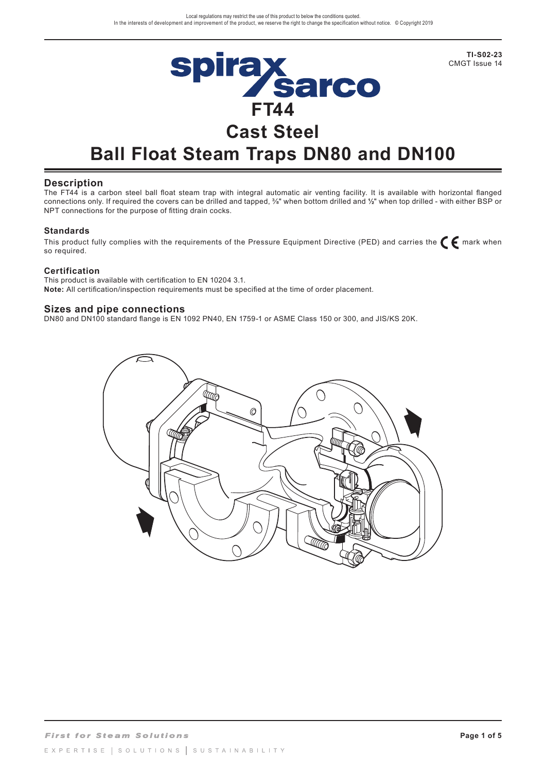

**Ball Float Steam Traps DN80 and DN100**

## **Description**

The FT44 is a carbon steel ball float steam trap with integral automatic air venting facility. It is available with horizontal flanged connections only. If required the covers can be drilled and tapped, 3/8" when bottom drilled and **½**" when top drilled - with either BSP or NPT connections for the purpose of fitting drain cocks.

#### **Standards**

This product fully complies with the requirements of the Pressure Equipment Directive (PED) and carries the  $\epsilon$  mark when so required.

#### **Certification**

This product is available with certification to EN 10204 3.1. **Note:** All certification/inspection requirements must be specified at the time of order placement.

#### **Sizes and pipe connections**

DN80 and DN100 standard flange is EN 1092 PN40, EN 1759-1 or ASME Class 150 or 300, and JIS/KS 20K.



**TI-S02-23**  CMGT Issue 14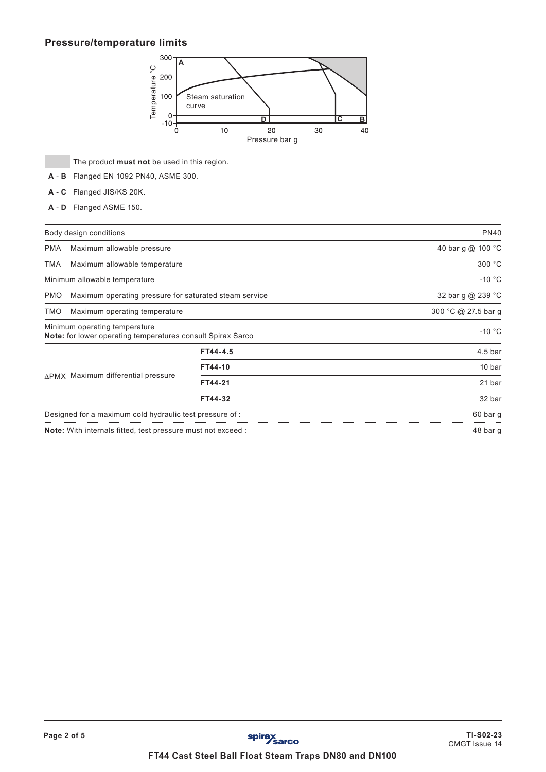# **Pressure/temperature limits**



The product **must not** be used in this region.

- **A B** Flanged EN 1092 PN40, ASME 300.
- **A C** Flanged JIS/KS 20K.
- **A D** Flanged ASME 150.

|                                                                     | Body design conditions                                                                       |                     | <b>PN40</b>        |
|---------------------------------------------------------------------|----------------------------------------------------------------------------------------------|---------------------|--------------------|
| <b>PMA</b>                                                          | Maximum allowable pressure                                                                   |                     | 40 bar g @ 100 °C  |
| <b>TMA</b>                                                          | Maximum allowable temperature                                                                |                     | 300 °C             |
|                                                                     | Minimum allowable temperature                                                                |                     | $-10 °C$           |
| <b>PMO</b>                                                          | Maximum operating pressure for saturated steam service                                       |                     | 32 bar g @ 239 °C  |
| <b>TMO</b>                                                          | Maximum operating temperature                                                                | 300 °C @ 27.5 bar g |                    |
|                                                                     | Minimum operating temperature<br>Note: for lower operating temperatures consult Spirax Sarco |                     | $-10 °C$           |
|                                                                     | ΔPMX Maximum differential pressure                                                           | FT44-4.5            | 4.5 <sub>bar</sub> |
|                                                                     |                                                                                              | FT44-10             | 10 bar             |
|                                                                     |                                                                                              | FT44-21             | 21 bar             |
|                                                                     |                                                                                              | FT44-32             | 32 bar             |
|                                                                     | Designed for a maximum cold hydraulic test pressure of :                                     | 60 bar g            |                    |
| <b>Note:</b> With internals fitted, test pressure must not exceed : |                                                                                              |                     | 48 bar g           |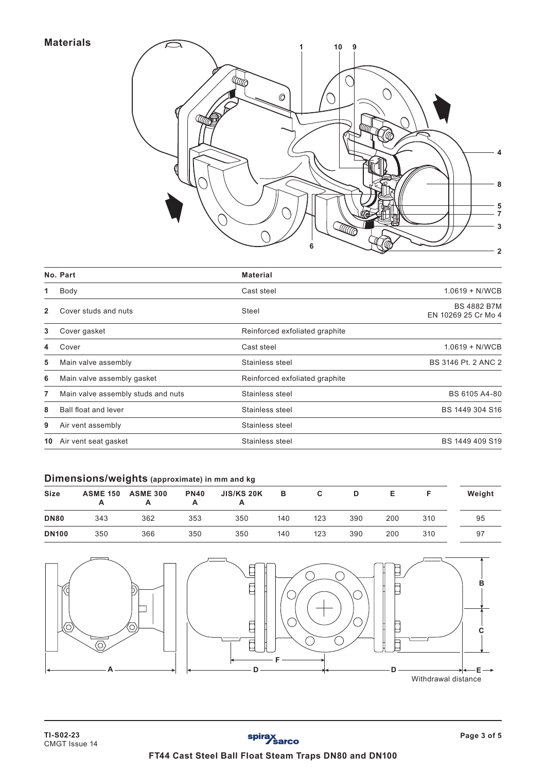# **Materials**



|                | No. Part                           | <b>Material</b>                |                                           |
|----------------|------------------------------------|--------------------------------|-------------------------------------------|
| 1              | Body                               | Cast steel                     | $1.0619 + N/WCB$                          |
| $\overline{2}$ | Cover studs and nuts               | Steel                          | <b>BS 4882 B7M</b><br>EN 10269 25 Cr Mo 4 |
| 3              | Cover gasket                       | Reinforced exfoliated graphite |                                           |
| 4              | Cover                              | Cast steel                     | $1.0619 + N/WCB$                          |
| 5              | Main valve assembly                | Stainless steel                | BS 3146 Pt. 2 ANC 2                       |
| 6              | Main valve assembly gasket         | Reinforced exfoliated graphite |                                           |
| 7              | Main valve assembly studs and nuts | Stainless steel                | BS 6105 A4-80                             |
| 8              | Ball float and lever               | Stainless steel                | BS 1449 304 S16                           |
| 9              | Air vent assembly                  | Stainless steel                |                                           |
| 10             | Air vent seat gasket               | Stainless steel                | BS 1449 409 S19                           |
|                |                                    |                                |                                           |

# **Dimensions/weights (approximate) in mm and kg**

| <b>Size</b>  | <b>ASME 150</b> | <b>ASME 300</b> | <b>PN40</b> | <b>JIS/KS 20K</b> | в   | С   | D   |     |     | Weight |
|--------------|-----------------|-----------------|-------------|-------------------|-----|-----|-----|-----|-----|--------|
| <b>DN80</b>  | 343             | 362             | 353         | 350               | 140 | 123 | 390 | 200 | 310 | 95     |
| <b>DN100</b> | 350             | 366             | 350         | 350               | 140 | 123 | 390 | 200 | 310 | 97     |

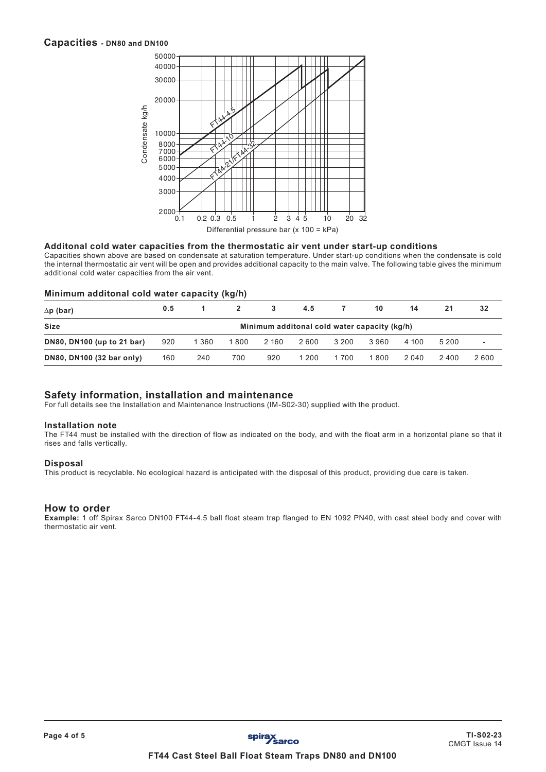## **Capacities - DN80 and DN100**



#### **Additonal cold water capacities from the thermostatic air vent under start-up conditions**

Capacities shown above are based on condensate at saturation temperature. Under start-up conditions when the condensate is cold the internal thermostatic air vent will be open and provides additional capacity to the main valve. The following table gives the minimum additional cold water capacities from the air vent.

#### **Minimum additonal cold water capacity (kg/h)**

| $\Delta p$ (bar)                                            | 0.5 |         | $2^{\circ}$ | 3     | 4.5   | $7^{\circ}$ | 10    | 14    | 21    | 32                       |
|-------------------------------------------------------------|-----|---------|-------------|-------|-------|-------------|-------|-------|-------|--------------------------|
| <b>Size</b><br>Minimum additonal cold water capacity (kg/h) |     |         |             |       |       |             |       |       |       |                          |
| DN80, DN100 (up to 21 bar)                                  | 920 | 1 3 6 0 | 1800        | 2 160 | 2 600 | 3 200       | 3960  | 4 100 | 5 200 | $\overline{\phantom{a}}$ |
| DN80, DN100 (32 bar only)                                   | 160 | 240     | 700         | 920   | 1 200 | 1 700       | 1 800 | 2 040 | 2 400 | 2600                     |

## **Safety information, installation and maintenance**

For full details see the Installation and Maintenance Instructions (IM-S02-30) supplied with the product.

#### **Installation note**

The FT44 must be installed with the direction of flow as indicated on the body, and with the float arm in a horizontal plane so that it rises and falls vertically.

#### **Disposal**

This product is recyclable. No ecological hazard is anticipated with the disposal of this product, providing due care is taken.

#### **How to order**

**Example:** 1 off Spirax Sarco DN100 FT44-4.5 ball float steam trap flanged to EN 1092 PN40, with cast steel body and cover with thermostatic air vent.